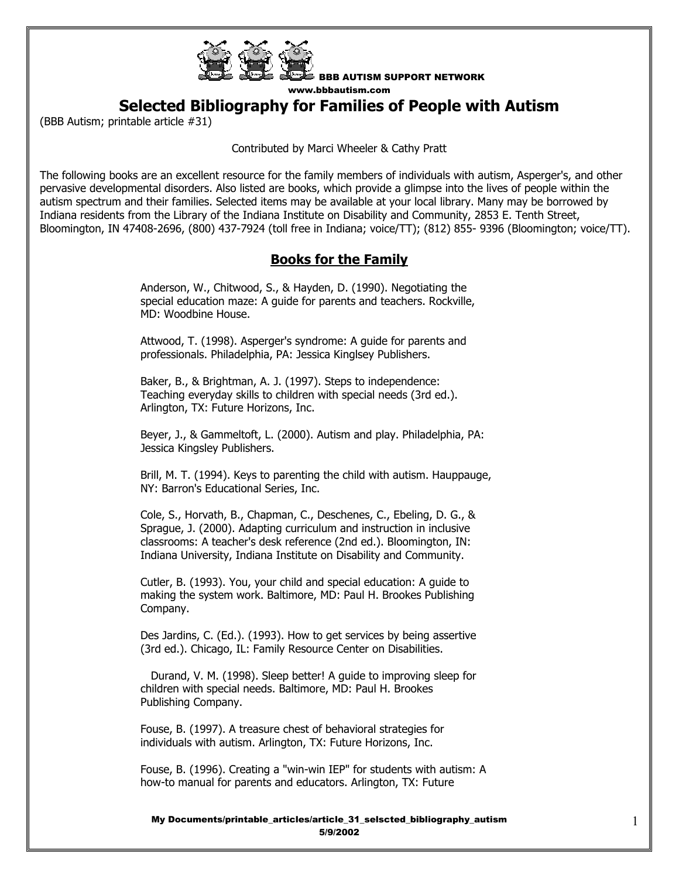

**Selected Bibliography for Families of People with Autism** 

(BBB Autism; printable article #31)

Contributed by Marci Wheeler & Cathy Pratt

The following books are an excellent resource for the family members of individuals with autism, Asperger's, and other pervasive developmental disorders. Also listed are books, which provide a glimpse into the lives of people within the autism spectrum and their families. Selected items may be available at your local library. Many may be borrowed by Indiana residents from the Library of the Indiana Institute on Disability and Community, 2853 E. Tenth Street, Bloomington, IN 47408-2696, (800) 437-7924 (toll free in Indiana; voice/TT); (812) 855- 9396 (Bloomington; voice/TT).

## **Books for the Family**

 Anderson, W., Chitwood, S., & Hayden, D. (1990). Negotiating the special education maze: A guide for parents and teachers. Rockville, MD: Woodbine House.

 Attwood, T. (1998). Asperger's syndrome: A guide for parents and professionals. Philadelphia, PA: Jessica Kinglsey Publishers.

 Baker, B., & Brightman, A. J. (1997). Steps to independence: Teaching everyday skills to children with special needs (3rd ed.). Arlington, TX: Future Horizons, Inc.

 Beyer, J., & Gammeltoft, L. (2000). Autism and play. Philadelphia, PA: Jessica Kingsley Publishers.

 Brill, M. T. (1994). Keys to parenting the child with autism. Hauppauge, NY: Barron's Educational Series, Inc.

 Cole, S., Horvath, B., Chapman, C., Deschenes, C., Ebeling, D. G., & Sprague, J. (2000). Adapting curriculum and instruction in inclusive classrooms: A teacher's desk reference (2nd ed.). Bloomington, IN: Indiana University, Indiana Institute on Disability and Community.

 Cutler, B. (1993). You, your child and special education: A guide to making the system work. Baltimore, MD: Paul H. Brookes Publishing Company.

 Des Jardins, C. (Ed.). (1993). How to get services by being assertive (3rd ed.). Chicago, IL: Family Resource Center on Disabilities.

 Durand, V. M. (1998). Sleep better! A guide to improving sleep for children with special needs. Baltimore, MD: Paul H. Brookes Publishing Company.

 Fouse, B. (1997). A treasure chest of behavioral strategies for individuals with autism. Arlington, TX: Future Horizons, Inc.

 Fouse, B. (1996). Creating a "win-win IEP" for students with autism: A how-to manual for parents and educators. Arlington, TX: Future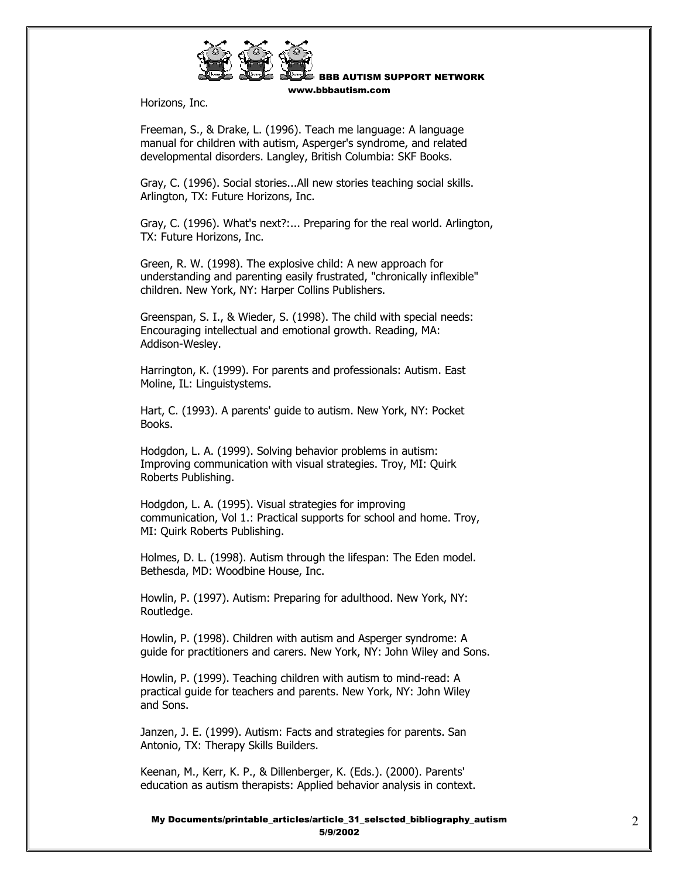

Horizons, Inc.

 Freeman, S., & Drake, L. (1996). Teach me language: A language manual for children with autism, Asperger's syndrome, and related developmental disorders. Langley, British Columbia: SKF Books.

 Gray, C. (1996). Social stories...All new stories teaching social skills. Arlington, TX: Future Horizons, Inc.

 Gray, C. (1996). What's next?:... Preparing for the real world. Arlington, TX: Future Horizons, Inc.

 Green, R. W. (1998). The explosive child: A new approach for understanding and parenting easily frustrated, "chronically inflexible" children. New York, NY: Harper Collins Publishers.

 Greenspan, S. I., & Wieder, S. (1998). The child with special needs: Encouraging intellectual and emotional growth. Reading, MA: Addison-Wesley.

 Harrington, K. (1999). For parents and professionals: Autism. East Moline, IL: Linguistystems.

 Hart, C. (1993). A parents' guide to autism. New York, NY: Pocket Books.

 Hodgdon, L. A. (1999). Solving behavior problems in autism: Improving communication with visual strategies. Troy, MI: Quirk Roberts Publishing.

 Hodgdon, L. A. (1995). Visual strategies for improving communication, Vol 1.: Practical supports for school and home. Troy, MI: Quirk Roberts Publishing.

 Holmes, D. L. (1998). Autism through the lifespan: The Eden model. Bethesda, MD: Woodbine House, Inc.

 Howlin, P. (1997). Autism: Preparing for adulthood. New York, NY: Routledge.

 Howlin, P. (1998). Children with autism and Asperger syndrome: A guide for practitioners and carers. New York, NY: John Wiley and Sons.

 Howlin, P. (1999). Teaching children with autism to mind-read: A practical guide for teachers and parents. New York, NY: John Wiley and Sons.

 Janzen, J. E. (1999). Autism: Facts and strategies for parents. San Antonio, TX: Therapy Skills Builders.

 Keenan, M., Kerr, K. P., & Dillenberger, K. (Eds.). (2000). Parents' education as autism therapists: Applied behavior analysis in context.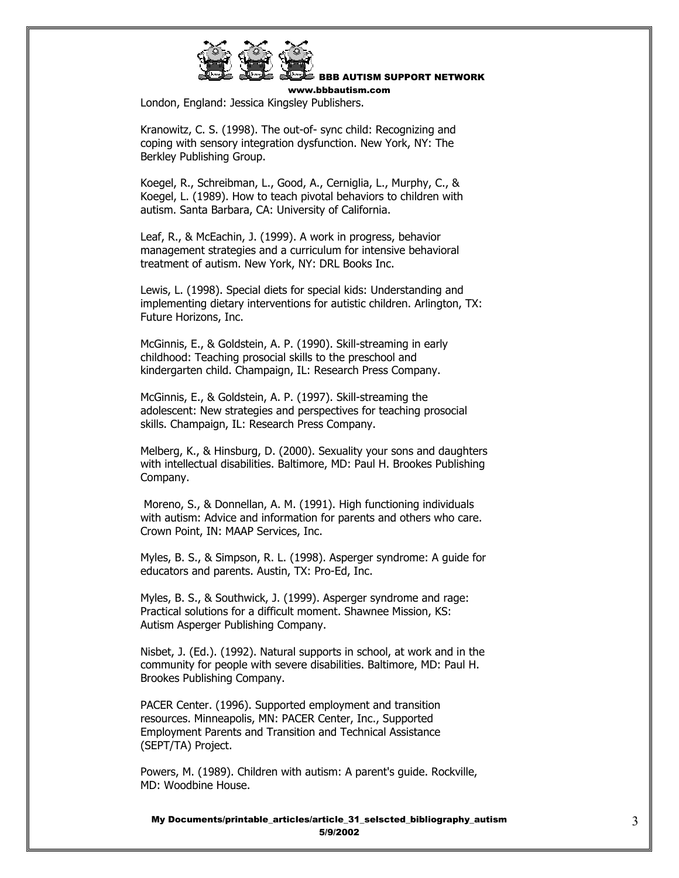

BBB AUTISM SUPPORT NETWORK

www.bbbautism.com

London, England: Jessica Kingsley Publishers.

 Kranowitz, C. S. (1998). The out-of- sync child: Recognizing and coping with sensory integration dysfunction. New York, NY: The Berkley Publishing Group.

 Koegel, R., Schreibman, L., Good, A., Cerniglia, L., Murphy, C., & Koegel, L. (1989). How to teach pivotal behaviors to children with autism. Santa Barbara, CA: University of California.

 Leaf, R., & McEachin, J. (1999). A work in progress, behavior management strategies and a curriculum for intensive behavioral treatment of autism. New York, NY: DRL Books Inc.

 Lewis, L. (1998). Special diets for special kids: Understanding and implementing dietary interventions for autistic children. Arlington, TX: Future Horizons, Inc.

 McGinnis, E., & Goldstein, A. P. (1990). Skill-streaming in early childhood: Teaching prosocial skills to the preschool and kindergarten child. Champaign, IL: Research Press Company.

 McGinnis, E., & Goldstein, A. P. (1997). Skill-streaming the adolescent: New strategies and perspectives for teaching prosocial skills. Champaign, IL: Research Press Company.

 Melberg, K., & Hinsburg, D. (2000). Sexuality your sons and daughters with intellectual disabilities. Baltimore, MD: Paul H. Brookes Publishing Company.

 Moreno, S., & Donnellan, A. M. (1991). High functioning individuals with autism: Advice and information for parents and others who care. Crown Point, IN: MAAP Services, Inc.

 Myles, B. S., & Simpson, R. L. (1998). Asperger syndrome: A guide for educators and parents. Austin, TX: Pro-Ed, Inc.

 Myles, B. S., & Southwick, J. (1999). Asperger syndrome and rage: Practical solutions for a difficult moment. Shawnee Mission, KS: Autism Asperger Publishing Company.

 Nisbet, J. (Ed.). (1992). Natural supports in school, at work and in the community for people with severe disabilities. Baltimore, MD: Paul H. Brookes Publishing Company.

 PACER Center. (1996). Supported employment and transition resources. Minneapolis, MN: PACER Center, Inc., Supported Employment Parents and Transition and Technical Assistance (SEPT/TA) Project.

 Powers, M. (1989). Children with autism: A parent's guide. Rockville, MD: Woodbine House.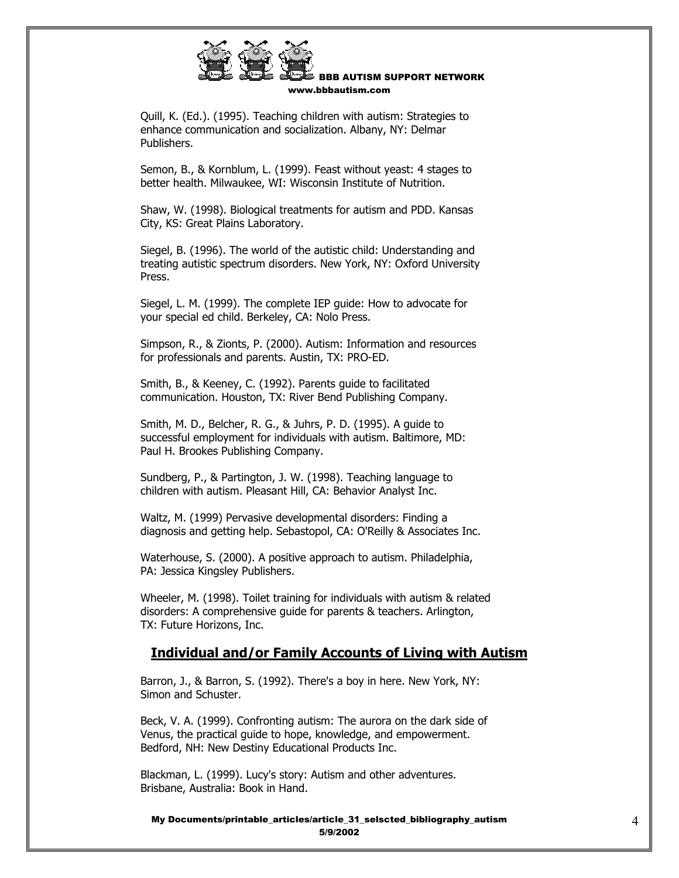

 Quill, K. (Ed.). (1995). Teaching children with autism: Strategies to enhance communication and socialization. Albany, NY: Delmar Publishers.

 Semon, B., & Kornblum, L. (1999). Feast without yeast: 4 stages to better health. Milwaukee, WI: Wisconsin Institute of Nutrition.

 Shaw, W. (1998). Biological treatments for autism and PDD. Kansas City, KS: Great Plains Laboratory.

 Siegel, B. (1996). The world of the autistic child: Understanding and treating autistic spectrum disorders. New York, NY: Oxford University Press.

 Siegel, L. M. (1999). The complete IEP guide: How to advocate for your special ed child. Berkeley, CA: Nolo Press.

 Simpson, R., & Zionts, P. (2000). Autism: Information and resources for professionals and parents. Austin, TX: PRO-ED.

 Smith, B., & Keeney, C. (1992). Parents guide to facilitated communication. Houston, TX: River Bend Publishing Company.

 Smith, M. D., Belcher, R. G., & Juhrs, P. D. (1995). A guide to successful employment for individuals with autism. Baltimore, MD: Paul H. Brookes Publishing Company.

 Sundberg, P., & Partington, J. W. (1998). Teaching language to children with autism. Pleasant Hill, CA: Behavior Analyst Inc.

 Waltz, M. (1999) Pervasive developmental disorders: Finding a diagnosis and getting help. Sebastopol, CA: O'Reilly & Associates Inc.

 Waterhouse, S. (2000). A positive approach to autism. Philadelphia, PA: Jessica Kingsley Publishers.

 Wheeler, M. (1998). Toilet training for individuals with autism & related disorders: A comprehensive guide for parents & teachers. Arlington, TX: Future Horizons, Inc.

## **Individual and/or Family Accounts of Living with Autism**

 Barron, J., & Barron, S. (1992). There's a boy in here. New York, NY: Simon and Schuster.

 Beck, V. A. (1999). Confronting autism: The aurora on the dark side of Venus, the practical guide to hope, knowledge, and empowerment. Bedford, NH: New Destiny Educational Products Inc.

 Blackman, L. (1999). Lucy's story: Autism and other adventures. Brisbane, Australia: Book in Hand.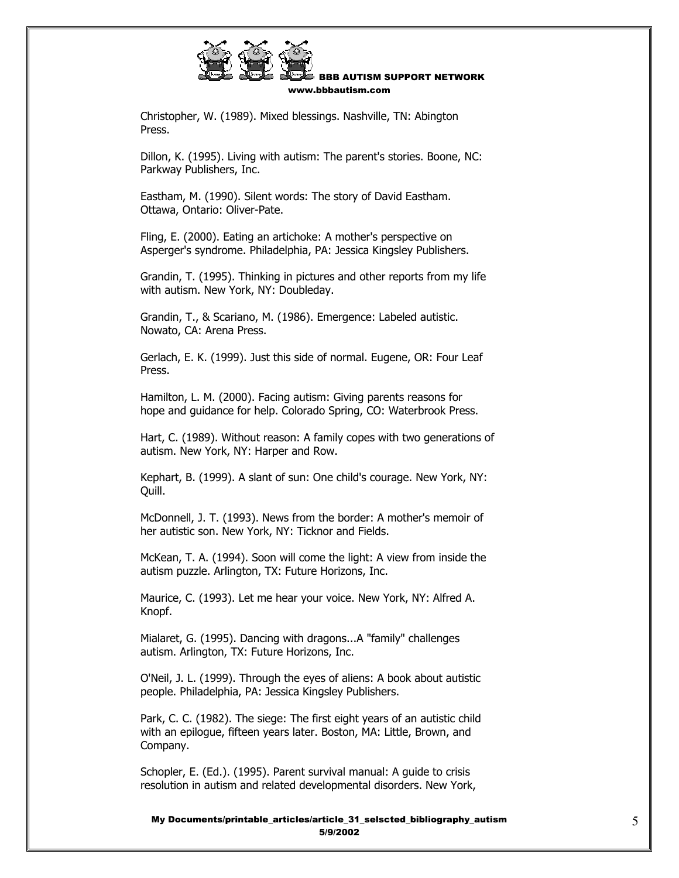

 Christopher, W. (1989). Mixed blessings. Nashville, TN: Abington Press.

 Dillon, K. (1995). Living with autism: The parent's stories. Boone, NC: Parkway Publishers, Inc.

 Eastham, M. (1990). Silent words: The story of David Eastham. Ottawa, Ontario: Oliver-Pate.

 Fling, E. (2000). Eating an artichoke: A mother's perspective on Asperger's syndrome. Philadelphia, PA: Jessica Kingsley Publishers.

 Grandin, T. (1995). Thinking in pictures and other reports from my life with autism. New York, NY: Doubleday.

 Grandin, T., & Scariano, M. (1986). Emergence: Labeled autistic. Nowato, CA: Arena Press.

 Gerlach, E. K. (1999). Just this side of normal. Eugene, OR: Four Leaf Press.

 Hamilton, L. M. (2000). Facing autism: Giving parents reasons for hope and guidance for help. Colorado Spring, CO: Waterbrook Press.

 Hart, C. (1989). Without reason: A family copes with two generations of autism. New York, NY: Harper and Row.

 Kephart, B. (1999). A slant of sun: One child's courage. New York, NY: Quill.

 McDonnell, J. T. (1993). News from the border: A mother's memoir of her autistic son. New York, NY: Ticknor and Fields.

 McKean, T. A. (1994). Soon will come the light: A view from inside the autism puzzle. Arlington, TX: Future Horizons, Inc.

 Maurice, C. (1993). Let me hear your voice. New York, NY: Alfred A. Knopf.

 Mialaret, G. (1995). Dancing with dragons...A "family" challenges autism. Arlington, TX: Future Horizons, Inc.

 O'Neil, J. L. (1999). Through the eyes of aliens: A book about autistic people. Philadelphia, PA: Jessica Kingsley Publishers.

 Park, C. C. (1982). The siege: The first eight years of an autistic child with an epilogue, fifteen years later. Boston, MA: Little, Brown, and Company.

 Schopler, E. (Ed.). (1995). Parent survival manual: A guide to crisis resolution in autism and related developmental disorders. New York,